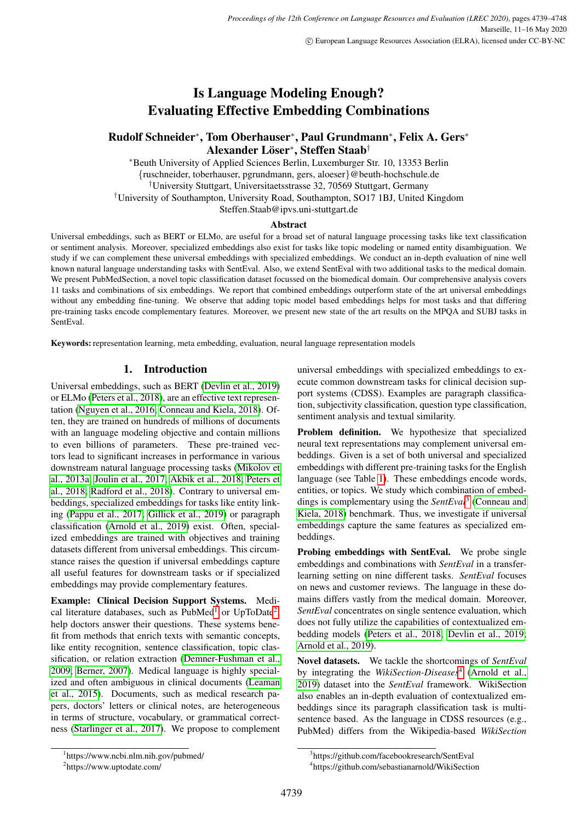# Is Language Modeling Enough? Evaluating Effective Embedding Combinations

## Rudolf Schneider<sup>∗</sup> , Tom Oberhauser<sup>∗</sup> , Paul Grundmann<sup>∗</sup> , Felix A. Gers<sup>∗</sup>  ${\bf Alexander \; L}$ öser $^* ,$  Steffen Staab $^\dagger$

<sup>∗</sup>Beuth University of Applied Sciences Berlin, Luxemburger Str. 10, 13353 Berlin {ruschneider, toberhauser, pgrundmann, gers, aloeser}@beuth-hochschule.de †University Stuttgart, Universitaetsstrasse 32, 70569 Stuttgart, Germany

†University of Southampton, University Road, Southampton, SO17 1BJ, United Kingdom

Steffen.Staab@ipvs.uni-stuttgart.de

#### Abstract

Universal embeddings, such as BERT or ELMo, are useful for a broad set of natural language processing tasks like text classification or sentiment analysis. Moreover, specialized embeddings also exist for tasks like topic modeling or named entity disambiguation. We study if we can complement these universal embeddings with specialized embeddings. We conduct an in-depth evaluation of nine well known natural language understanding tasks with SentEval. Also, we extend SentEval with two additional tasks to the medical domain. We present PubMedSection, a novel topic classification dataset focussed on the biomedical domain. Our comprehensive analysis covers 11 tasks and combinations of six embeddings. We report that combined embeddings outperform state of the art universal embeddings without any embedding fine-tuning. We observe that adding topic model based embeddings helps for most tasks and that differing pre-training tasks encode complementary features. Moreover, we present new state of the art results on the MPQA and SUBJ tasks in SentEval.

Keywords: representation learning, meta embedding, evaluation, neural language representation models

### 1. Introduction

Universal embeddings, such as BERT [\(Devlin et al., 2019\)](#page-8-0) or ELMo [\(Peters et al., 2018\)](#page-9-0), are an effective text representation [\(Nguyen et al., 2016;](#page-9-1) [Conneau and Kiela, 2018\)](#page-8-1). Often, they are trained on hundreds of millions of documents with an language modeling objective and contain millions to even billions of parameters. These pre-trained vectors lead to significant increases in performance in various downstream natural language processing tasks [\(Mikolov et](#page-8-2) [al., 2013a;](#page-8-2) [Joulin et al., 2017;](#page-8-3) [Akbik et al., 2018;](#page-7-0) [Peters et](#page-9-0) [al., 2018;](#page-9-0) [Radford et al., 2018\)](#page-9-2). Contrary to universal embeddings, specialized embeddings for tasks like entity linking [\(Pappu et al., 2017;](#page-9-3) [Gillick et al., 2019\)](#page-8-4) or paragraph classification [\(Arnold et al., 2019\)](#page-7-1) exist. Often, specialized embeddings are trained with objectives and training datasets different from universal embeddings. This circumstance raises the question if universal embeddings capture all useful features for downstream tasks or if specialized embeddings may provide complementary features.

Example: Clinical Decision Support Systems. Medi-cal literature databases, such as PubMed<sup>[1](#page-0-0)</sup> or UpToDate<sup>[2](#page-0-1)</sup>, help doctors answer their questions. These systems benefit from methods that enrich texts with semantic concepts, like entity recognition, sentence classification, topic classification, or relation extraction [\(Demner-Fushman et al.,](#page-8-5) [2009;](#page-8-5) [Berner, 2007\)](#page-7-2). Medical language is highly specialized and often ambiguous in clinical documents [\(Leaman](#page-8-6) [et al., 2015\)](#page-8-6). Documents, such as medical research papers, doctors' letters or clinical notes, are heterogeneous in terms of structure, vocabulary, or grammatical correctness [\(Starlinger et al., 2017\)](#page-9-4). We propose to complement universal embeddings with specialized embeddings to execute common downstream tasks for clinical decision support systems (CDSS). Examples are paragraph classification, subjectivity classification, question type classification, sentiment analysis and textual similarity.

Problem definition. We hypothesize that specialized neural text representations may complement universal embeddings. Given is a set of both universal and specialized embeddings with different pre-training tasks for the English language (see Table [1\)](#page-1-0). These embeddings encode words, entities, or topics. We study which combination of embeddings is complementary using the *SentEval*[3](#page-0-2) [\(Conneau and](#page-8-1) [Kiela, 2018\)](#page-8-1) benchmark. Thus, we investigate if universal embeddings capture the same features as specialized embeddings.

Probing embeddings with SentEval. We probe single embeddings and combinations with *SentEval* in a transferlearning setting on nine different tasks. *SentEval* focuses on news and customer reviews. The language in these domains differs vastly from the medical domain. Moreover, *SentEval* concentrates on single sentence evaluation, which does not fully utilize the capabilities of contextualized embedding models [\(Peters et al., 2018;](#page-9-0) [Devlin et al., 2019;](#page-8-0) [Arnold et al., 2019\)](#page-7-1).

Novel datasets. We tackle the shortcomings of *SentEval* by integrating the *WikiSection-Diseases*[4](#page-0-3) [\(Arnold et al.,](#page-7-1) [2019\)](#page-7-1) dataset into the *SentEval* framework. WikiSection also enables an in-depth evaluation of contextualized embeddings since its paragraph classification task is multisentence based. As the language in CDSS resources (e.g., PubMed) differs from the Wikipedia-based *WikiSection*

<span id="page-0-0"></span><sup>1</sup> https://www.ncbi.nlm.nih.gov/pubmed/

<span id="page-0-1"></span><sup>2</sup> https://www.uptodate.com/

<span id="page-0-2"></span><sup>3</sup> https://github.com/facebookresearch/SentEval

<span id="page-0-3"></span><sup>4</sup> https://github.com/sebastianarnold/WikiSection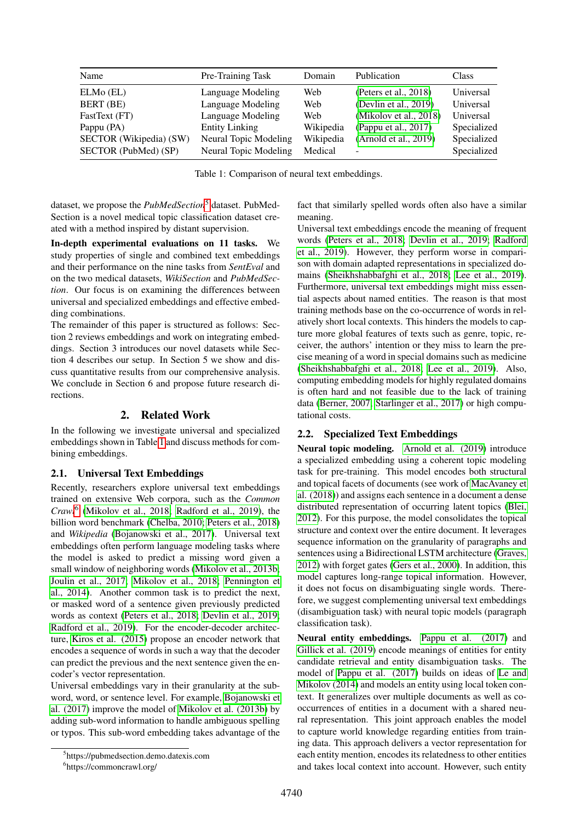| Name                    | Pre-Training Task     | Domain    | Publication              | Class       |
|-------------------------|-----------------------|-----------|--------------------------|-------------|
| $ELMo$ $(EL)$           | Language Modeling     | Web       | (Peters et al., $2018$ ) | Universal   |
| BERT (BE)               | Language Modeling     | Web       | (Devlin et al., 2019)    | Universal   |
| FastText (FT)           | Language Modeling     | Web       | (Mikolov et al., 2018)   | Universal   |
| Pappu (PA)              | <b>Entity Linking</b> | Wikipedia | (Pappu et al., 2017)     | Specialized |
| SECTOR (Wikipedia) (SW) | Neural Topic Modeling | Wikipedia | (Arnold et al., 2019)    | Specialized |
| SECTOR (PubMed) (SP)    | Neural Topic Modeling | Medical   | $\overline{\phantom{0}}$ | Specialized |

<span id="page-1-0"></span>Table 1: Comparison of neural text embeddings.

dataset, we propose the *PubMedSection*[5](#page-1-1) dataset. PubMed-Section is a novel medical topic classification dataset created with a method inspired by distant supervision.

In-depth experimental evaluations on 11 tasks. We study properties of single and combined text embeddings and their performance on the nine tasks from *SentEval* and on the two medical datasets, *WikiSection* and *PubMedSection*. Our focus is on examining the differences between universal and specialized embeddings and effective embedding combinations.

The remainder of this paper is structured as follows: Section 2 reviews embeddings and work on integrating embeddings. Section 3 introduces our novel datasets while Section 4 describes our setup. In Section 5 we show and discuss quantitative results from our comprehensive analysis. We conclude in Section 6 and propose future research directions.

### 2. Related Work

In the following we investigate universal and specialized embeddings shown in Table [1](#page-1-0) and discuss methods for combining embeddings.

### 2.1. Universal Text Embeddings

Recently, researchers explore universal text embeddings trained on extensive Web corpora, such as the *Common Crawl*[6](#page-1-2) [\(Mikolov et al., 2018;](#page-8-7) [Radford et al., 2019\)](#page-9-5), the billion word benchmark [\(Chelba, 2010;](#page-8-8) [Peters et al., 2018\)](#page-9-0) and *Wikipedia* [\(Bojanowski et al., 2017\)](#page-8-9). Universal text embeddings often perform language modeling tasks where the model is asked to predict a missing word given a small window of neighboring words [\(Mikolov et al., 2013b;](#page-8-10) [Joulin et al., 2017;](#page-8-3) [Mikolov et al., 2018;](#page-8-7) [Pennington et](#page-9-6) [al., 2014\)](#page-9-6). Another common task is to predict the next, or masked word of a sentence given previously predicted words as context [\(Peters et al., 2018;](#page-9-0) [Devlin et al., 2019;](#page-8-0) [Radford et al., 2019\)](#page-9-5). For the encoder-decoder architecture, [Kiros et al. \(2015\)](#page-8-11) propose an encoder network that encodes a sequence of words in such a way that the decoder can predict the previous and the next sentence given the encoder's vector representation.

Universal embeddings vary in their granularity at the subword, word, or sentence level. For example, [Bojanowski et](#page-8-9) [al. \(2017\)](#page-8-9) improve the model of [Mikolov et al. \(2013b\)](#page-8-10) by adding sub-word information to handle ambiguous spelling or typos. This sub-word embedding takes advantage of the

fact that similarly spelled words often also have a similar meaning.

Universal text embeddings encode the meaning of frequent words [\(Peters et al., 2018;](#page-9-0) [Devlin et al., 2019;](#page-8-0) [Radford](#page-9-5) [et al., 2019\)](#page-9-5). However, they perform worse in comparison with domain adapted representations in specialized domains [\(Sheikhshabbafghi et al., 2018;](#page-9-7) [Lee et al., 2019\)](#page-8-12). Furthermore, universal text embeddings might miss essential aspects about named entities. The reason is that most training methods base on the co-occurrence of words in relatively short local contexts. This hinders the models to capture more global features of texts such as genre, topic, receiver, the authors' intention or they miss to learn the precise meaning of a word in special domains such as medicine [\(Sheikhshabbafghi et al., 2018;](#page-9-7) [Lee et al., 2019\)](#page-8-12). Also, computing embedding models for highly regulated domains is often hard and not feasible due to the lack of training data [\(Berner, 2007;](#page-7-2) [Starlinger et al., 2017\)](#page-9-4) or high computational costs.

### 2.2. Specialized Text Embeddings

Neural topic modeling. [Arnold et al. \(2019\)](#page-7-1) introduce a specialized embedding using a coherent topic modeling task for pre-training. This model encodes both structural and topical facets of documents (see work of [MacAvaney et](#page-8-13) [al. \(2018\)](#page-8-13)) and assigns each sentence in a document a dense distributed representation of occurring latent topics [\(Blei,](#page-8-14) [2012\)](#page-8-14). For this purpose, the model consolidates the topical structure and context over the entire document. It leverages sequence information on the granularity of paragraphs and sentences using a Bidirectional LSTM architecture [\(Graves,](#page-8-15) [2012\)](#page-8-15) with forget gates [\(Gers et al., 2000\)](#page-8-16). In addition, this model captures long-range topical information. However, it does not focus on disambiguating single words. Therefore, we suggest complementing universal text embeddings (disambiguation task) with neural topic models (paragraph classification task).

Neural entity embeddings. [Pappu et al. \(2017\)](#page-9-3) and [Gillick et al. \(2019\)](#page-8-4) encode meanings of entities for entity candidate retrieval and entity disambiguation tasks. The model of [Pappu et al. \(2017\)](#page-9-3) builds on ideas of [Le and](#page-8-17) [Mikolov \(2014\)](#page-8-17) and models an entity using local token context. It generalizes over multiple documents as well as cooccurrences of entities in a document with a shared neural representation. This joint approach enables the model to capture world knowledge regarding entities from training data. This approach delivers a vector representation for each entity mention, encodes its relatedness to other entities and takes local context into account. However, such entity

<span id="page-1-1"></span><sup>5</sup> https://pubmedsection.demo.datexis.com

<span id="page-1-2"></span><sup>6</sup> https://commoncrawl.org/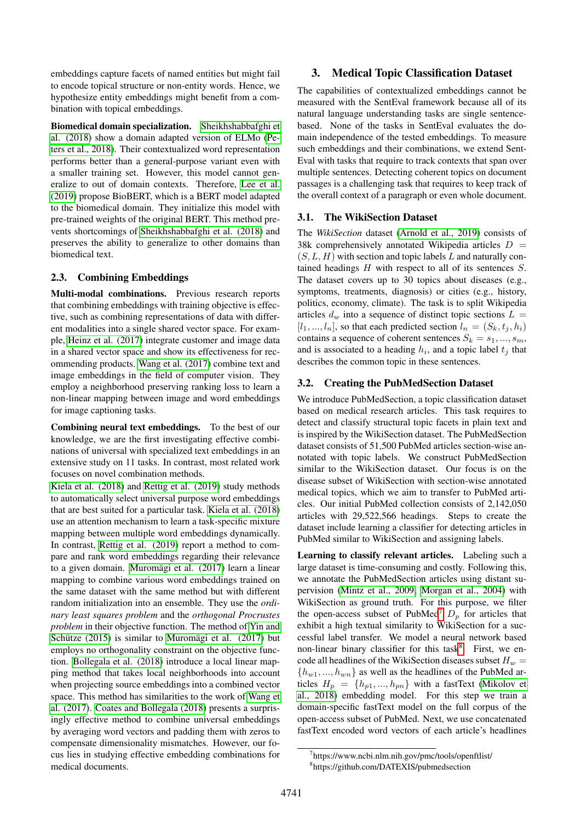embeddings capture facets of named entities but might fail to encode topical structure or non-entity words. Hence, we hypothesize entity embeddings might benefit from a combination with topical embeddings.

Biomedical domain specialization. [Sheikhshabbafghi et](#page-9-7) [al. \(2018\)](#page-9-7) show a domain adapted version of ELMo [\(Pe](#page-9-0)[ters et al., 2018\)](#page-9-0). Their contextualized word representation performs better than a general-purpose variant even with a smaller training set. However, this model cannot generalize to out of domain contexts. Therefore, [Lee et al.](#page-8-12) [\(2019\)](#page-8-12) propose BioBERT, which is a BERT model adapted to the biomedical domain. They initialize this model with pre-trained weights of the original BERT. This method prevents shortcomings of [Sheikhshabbafghi et al. \(2018\)](#page-9-7) and preserves the ability to generalize to other domains than biomedical text.

#### 2.3. Combining Embeddings

Multi-modal combinations. Previous research reports that combining embeddings with training objective is effective, such as combining representations of data with different modalities into a single shared vector space. For example, [Heinz et al. \(2017\)](#page-8-18) integrate customer and image data in a shared vector space and show its effectiveness for recommending products. [Wang et al. \(2017\)](#page-9-8) combine text and image embeddings in the field of computer vision. They employ a neighborhood preserving ranking loss to learn a non-linear mapping between image and word embeddings for image captioning tasks.

Combining neural text embeddings. To the best of our knowledge, we are the first investigating effective combinations of universal with specialized text embeddings in an extensive study on 11 tasks. In contrast, most related work focuses on novel combination methods.

[Kiela et al. \(2018\)](#page-8-19) and [Rettig et al. \(2019\)](#page-9-9) study methods to automatically select universal purpose word embeddings that are best suited for a particular task. [Kiela et al. \(2018\)](#page-8-19) use an attention mechanism to learn a task-specific mixture mapping between multiple word embeddings dynamically. In contrast, [Rettig et al. \(2019\)](#page-9-9) report a method to compare and rank word embeddings regarding their relevance to a given domain. Muromägi et al. (2017) learn a linear mapping to combine various word embeddings trained on the same dataset with the same method but with different random initialization into an ensemble. They use the *ordinary least squares problem* and the *orthogonal Procrustes problem* in their objective function. The method of [Yin and](#page-9-11) Schütze  $(2015)$  is similar to Muromägi et al.  $(2017)$  but employs no orthogonality constraint on the objective function. [Bollegala et al. \(2018\)](#page-8-20) introduce a local linear mapping method that takes local neighborhoods into account when projecting source embeddings into a combined vector space. This method has similarities to the work of [Wang et](#page-9-8) [al. \(2017\)](#page-9-8). [Coates and Bollegala \(2018\)](#page-8-21) presents a surprisingly effective method to combine universal embeddings by averaging word vectors and padding them with zeros to compensate dimensionality mismatches. However, our focus lies in studying effective embedding combinations for medical documents.

## 3. Medical Topic Classification Dataset

The capabilities of contextualized embeddings cannot be measured with the SentEval framework because all of its natural language understanding tasks are single sentencebased. None of the tasks in SentEval evaluates the domain independence of the tested embeddings. To measure such embeddings and their combinations, we extend Sent-Eval with tasks that require to track contexts that span over multiple sentences. Detecting coherent topics on document passages is a challenging task that requires to keep track of the overall context of a paragraph or even whole document.

### 3.1. The WikiSection Dataset

The *WikiSection* dataset [\(Arnold et al., 2019\)](#page-7-1) consists of 38k comprehensively annotated Wikipedia articles  $D =$  $(S, L, H)$  with section and topic labels L and naturally contained headings  $H$  with respect to all of its sentences  $S$ . The dataset covers up to 30 topics about diseases (e.g., symptoms, treatments, diagnosis) or cities (e.g., history, politics, economy, climate). The task is to split Wikipedia articles  $d_w$  into a sequence of distinct topic sections  $L =$  $[l_1, ..., l_n]$ , so that each predicted section  $l_n = (S_k, t_i, h_i)$ contains a sequence of coherent sentences  $S_k = s_1, ..., s_m$ , and is associated to a heading  $h_i$ , and a topic label  $t_j$  that describes the common topic in these sentences.

### 3.2. Creating the PubMedSection Dataset

We introduce PubMedSection, a topic classification dataset based on medical research articles. This task requires to detect and classify structural topic facets in plain text and is inspired by the WikiSection dataset. The PubMedSection dataset consists of 51,500 PubMed articles section-wise annotated with topic labels. We construct PubMedSection similar to the WikiSection dataset. Our focus is on the disease subset of WikiSection with section-wise annotated medical topics, which we aim to transfer to PubMed articles. Our initial PubMed collection consists of 2,142,050 articles with 29,522,566 headings. Steps to create the dataset include learning a classifier for detecting articles in PubMed similar to WikiSection and assigning labels.

Learning to classify relevant articles. Labeling such a large dataset is time-consuming and costly. Following this, we annotate the PubMedSection articles using distant supervision [\(Mintz et al., 2009;](#page-8-22) [Morgan et al., 2004\)](#page-9-12) with WikiSection as ground truth. For this purpose, we filter the open-access subset of PubMed<sup>[7](#page-2-0)</sup>  $D_p$  for articles that exhibit a high textual similarity to WikiSection for a successful label transfer. We model a neural network based non-linear binary classifier for this task<sup>[8](#page-2-1)</sup>. First, we encode all headlines of the WikiSection diseases subset  $H_w =$  ${h_{w1},...,h_{wn}}$  as well as the headlines of the PubMed articles  $H_p = \{h_{p1},..., h_{pn}\}\$  with a fastText [\(Mikolov et](#page-8-7) [al., 2018\)](#page-8-7) embedding model. For this step we train a domain-specific fastText model on the full corpus of the open-access subset of PubMed. Next, we use concatenated fastText encoded word vectors of each article's headlines

<span id="page-2-1"></span><span id="page-2-0"></span><sup>7</sup> https://www.ncbi.nlm.nih.gov/pmc/tools/openftlist/ 8 https://github.com/DATEXIS/pubmedsection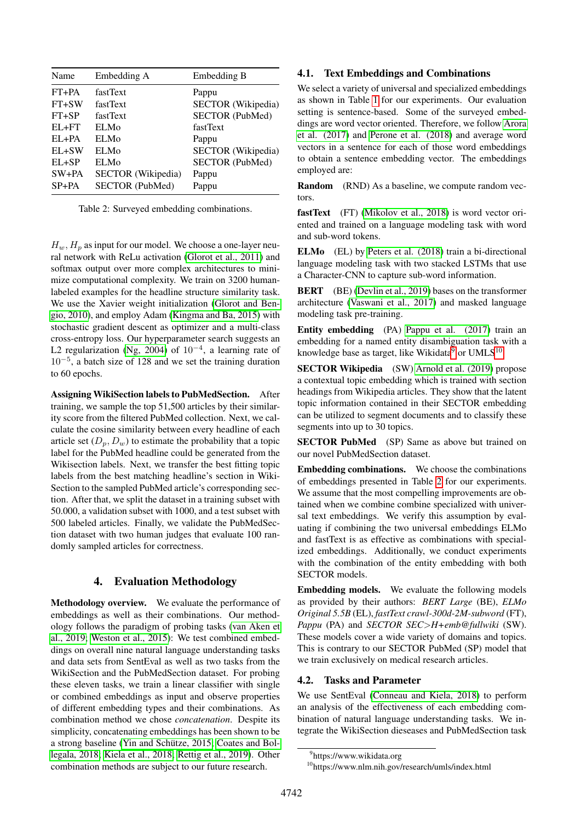| SECTOR (Wikipedia) |
|--------------------|
| SECTOR (PubMed)    |
|                    |
|                    |
| SECTOR (Wikipedia) |
| SECTOR (PubMed)    |
|                    |
|                    |
|                    |

<span id="page-3-2"></span>Table 2: Surveyed embedding combinations.

 $H_w$ ,  $H_p$  as input for our model. We choose a one-layer neural network with ReLu activation [\(Glorot et al., 2011\)](#page-8-23) and softmax output over more complex architectures to minimize computational complexity. We train on 3200 humanlabeled examples for the headline structure similarity task. We use the Xavier weight initialization [\(Glorot and Ben](#page-8-24)[gio, 2010\)](#page-8-24), and employ Adam [\(Kingma and Ba, 2015\)](#page-8-25) with stochastic gradient descent as optimizer and a multi-class cross-entropy loss. Our hyperparameter search suggests an L2 regularization [\(Ng, 2004\)](#page-9-13) of  $10^{-4}$ , a learning rate of 10<sup>−</sup><sup>5</sup> , a batch size of 128 and we set the training duration to 60 epochs.

Assigning WikiSection labels to PubMedSection. After training, we sample the top 51,500 articles by their similarity score from the filtered PubMed collection. Next, we calculate the cosine similarity between every headline of each article set  $(D_p, D_w)$  to estimate the probability that a topic label for the PubMed headline could be generated from the Wikisection labels. Next, we transfer the best fitting topic labels from the best matching headline's section in Wiki-Section to the sampled PubMed article's corresponding section. After that, we split the dataset in a training subset with 50.000, a validation subset with 1000, and a test subset with 500 labeled articles. Finally, we validate the PubMedSection dataset with two human judges that evaluate 100 randomly sampled articles for correctness.

## 4. Evaluation Methodology

Methodology overview. We evaluate the performance of embeddings as well as their combinations. Our methodology follows the paradigm of probing tasks [\(van Aken et](#page-9-14) [al., 2019;](#page-9-14) [Weston et al., 2015\)](#page-9-15): We test combined embeddings on overall nine natural language understanding tasks and data sets from SentEval as well as two tasks from the WikiSection and the PubMedSection dataset. For probing these eleven tasks, we train a linear classifier with single or combined embeddings as input and observe properties of different embedding types and their combinations. As combination method we chose *concatenation*. Despite its simplicity, concatenating embeddings has been shown to be a strong baseline (Yin and Schütze, 2015; [Coates and Bol](#page-8-21) [legala, 2018;](#page-8-21) [Kiela et al., 2018;](#page-8-19) [Rettig et al., 2019\)](#page-9-9). Other combination methods are subject to our future research.

#### 4.1. Text Embeddings and Combinations

We select a variety of universal and specialized embeddings as shown in Table [1](#page-1-0) for our experiments. Our evaluation setting is sentence-based. Some of the surveyed embeddings are word vector oriented. Therefore, we follow [Arora](#page-7-3) [et al. \(2017\)](#page-7-3) and [Perone et al. \(2018\)](#page-9-16) and average word vectors in a sentence for each of those word embeddings to obtain a sentence embedding vector. The embeddings employed are:

**Random** (RND) As a baseline, we compute random vectors.

fastText (FT) [\(Mikolov et al., 2018\)](#page-8-7) is word vector oriented and trained on a language modeling task with word and sub-word tokens.

ELMo (EL) by [Peters et al. \(2018\)](#page-9-0) train a bi-directional language modeling task with two stacked LSTMs that use a Character-CNN to capture sub-word information.

BERT (BE) [\(Devlin et al., 2019\)](#page-8-0) bases on the transformer architecture [\(Vaswani et al., 2017\)](#page-9-17) and masked language modeling task pre-training.

Entity embedding (PA) [Pappu et al. \(2017\)](#page-9-3) train an embedding for a named entity disambiguation task with a knowledge base as target, like Wikidata $9$  or UMLS $^{10}$  $^{10}$  $^{10}$ .

SECTOR Wikipedia (SW) [Arnold et al. \(2019\)](#page-7-1) propose a contextual topic embedding which is trained with section headings from Wikipedia articles. They show that the latent topic information contained in their SECTOR embedding can be utilized to segment documents and to classify these segments into up to 30 topics.

SECTOR PubMed (SP) Same as above but trained on our novel PubMedSection dataset.

Embedding combinations. We choose the combinations of embeddings presented in Table [2](#page-3-2) for our experiments. We assume that the most compelling improvements are obtained when we combine combine specialized with universal text embeddings. We verify this assumption by evaluating if combining the two universal embeddings ELMo and fastText is as effective as combinations with specialized embeddings. Additionally, we conduct experiments with the combination of the entity embedding with both SECTOR models.

Embedding models. We evaluate the following models as provided by their authors: *BERT Large* (BE), *ELMo Original 5.5B* (EL), *fastText crawl-300d-2M-subword* (FT), *Pappu* (PA) and *SECTOR SEC*>*H+emb@fullwiki* (SW). These models cover a wide variety of domains and topics. This is contrary to our SECTOR PubMed (SP) model that we train exclusively on medical research articles.

#### <span id="page-3-3"></span>4.2. Tasks and Parameter

We use SentEval [\(Conneau and Kiela, 2018\)](#page-8-1) to perform an analysis of the effectiveness of each embedding combination of natural language understanding tasks. We integrate the WikiSection dieseases and PubMedSection task

<span id="page-3-0"></span><sup>&</sup>lt;sup>9</sup>https://www.wikidata.org

<span id="page-3-1"></span><sup>&</sup>lt;sup>10</sup>https://www.nlm.nih.gov/research/umls/index.html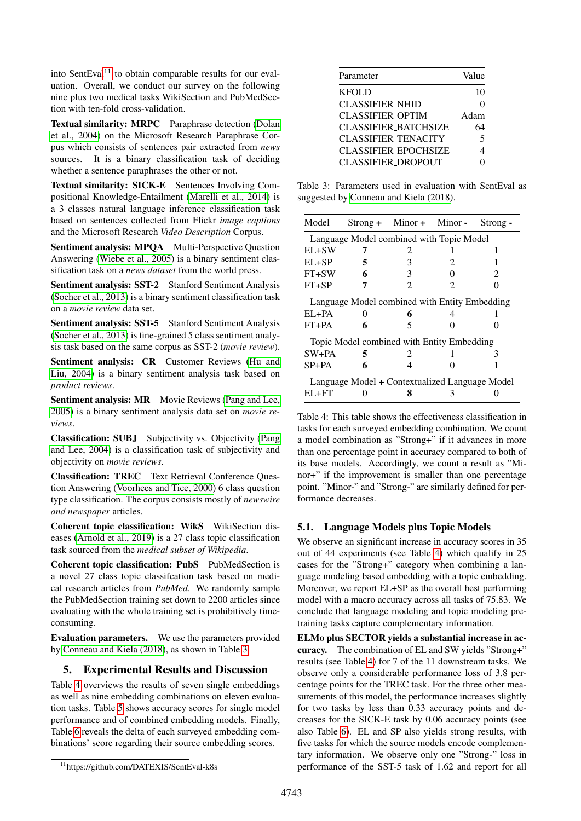into SentEval<sup>[11](#page-4-0)</sup> to obtain comparable results for our evaluation. Overall, we conduct our survey on the following nine plus two medical tasks WikiSection and PubMedSection with ten-fold cross-validation.

Textual similarity: MRPC Paraphrase detection [\(Dolan](#page-8-26) [et al., 2004\)](#page-8-26) on the Microsoft Research Paraphrase Corpus which consists of sentences pair extracted from *news* sources. It is a binary classification task of deciding whether a sentence paraphrases the other or not.

Textual similarity: SICK-E Sentences Involving Compositional Knowledge-Entailment [\(Marelli et al., 2014\)](#page-8-27) is a 3 classes natural language inference classification task based on sentences collected from Flickr *image captions* and the Microsoft Research *Video Description* Corpus.

Sentiment analysis: MPQA Multi-Perspective Question Answering [\(Wiebe et al., 2005\)](#page-9-18) is a binary sentiment classification task on a *news dataset* from the world press.

Sentiment analysis: SST-2 Stanford Sentiment Analysis [\(Socher et al., 2013\)](#page-9-19) is a binary sentiment classification task on a *movie review* data set.

Sentiment analysis: SST-5 Stanford Sentiment Analysis [\(Socher et al., 2013\)](#page-9-19) is fine-grained 5 class sentiment analysis task based on the same corpus as SST-2 (*movie review*).

Sentiment analysis: CR Customer Reviews [\(Hu and](#page-8-28) [Liu, 2004\)](#page-8-28) is a binary sentiment analysis task based on *product reviews*.

Sentiment analysis: MR Movie Reviews [\(Pang and Lee,](#page-9-20) [2005\)](#page-9-20) is a binary sentiment analysis data set on *movie reviews*.

Classification: SUBJ Subjectivity vs. Objectivity [\(Pang](#page-9-21) [and Lee, 2004\)](#page-9-21) is a classification task of subjectivity and objectivity on *movie reviews*.

Classification: TREC Text Retrieval Conference Question Answering [\(Voorhees and Tice, 2000\)](#page-9-22) 6 class question type classification. The corpus consists mostly of *newswire and newspaper* articles.

Coherent topic classification: WikS WikiSection diseases [\(Arnold et al., 2019\)](#page-7-1) is a 27 class topic classification task sourced from the *medical subset of Wikipedia*.

Coherent topic classification: PubS PubMedSection is a novel 27 class topic classifcation task based on medical research articles from *PubMed*. We randomly sample the PubMedSection training set down to 2200 articles since evaluating with the whole training set is prohibitively timeconsuming.

Evaluation parameters. We use the parameters provided by [Conneau and Kiela \(2018\)](#page-8-1), as shown in Table [3.](#page-4-1)

### 5. Experimental Results and Discussion

Table [4](#page-4-2) overviews the results of seven single embeddings as well as nine embedding combinations on eleven evaluation tasks. Table [5](#page-5-0) shows accuracy scores for single model performance and of combined embedding models. Finally, Table [6](#page-6-0) reveals the delta of each surveyed embedding combinations' score regarding their source embedding scores.

| Parameter                   | Value                   |
|-----------------------------|-------------------------|
| <b>KFOLD</b>                | 10                      |
| <b>CLASSIFIER_NHID</b>      |                         |
| <b>CLASSIFIER OPTIM</b>     | Adam                    |
| <b>CLASSIFIER BATCHSIZE</b> | 64                      |
| <b>CLASSIFIER_TENACITY</b>  | $\overline{\mathbf{5}}$ |
| <b>CLASSIFIER_EPOCHSIZE</b> | Δ                       |
| <b>CLASSIFIER_DROPOUT</b>   |                         |

<span id="page-4-1"></span>Table 3: Parameters used in evaluation with SentEval as suggested by [Conneau and Kiela \(2018\)](#page-8-1).

| Model                                          |   | $Strong +$ Minor + Minor -  |   | Strong - |  |  |  |  |  |
|------------------------------------------------|---|-----------------------------|---|----------|--|--|--|--|--|
| Language Model combined with Topic Model       |   |                             |   |          |  |  |  |  |  |
| EL+SW                                          |   |                             |   |          |  |  |  |  |  |
| EL+SP                                          | 5 | 3                           | 2 |          |  |  |  |  |  |
| FT+SW                                          |   | 3                           |   | 2        |  |  |  |  |  |
| $FT+SP$                                        |   | $\mathcal{D}_{\mathcal{A}}$ | 2 |          |  |  |  |  |  |
| Language Model combined with Entity Embedding  |   |                             |   |          |  |  |  |  |  |
| $EL+PA$                                        |   | 6                           |   |          |  |  |  |  |  |
| $FT+PA$                                        | 6 | 5                           |   |          |  |  |  |  |  |
| Topic Model combined with Entity Embedding     |   |                             |   |          |  |  |  |  |  |
| $SW+PA$                                        | 5 | $\mathcal{L}$               |   | 3        |  |  |  |  |  |
| $SP+PA$                                        | 6 |                             |   |          |  |  |  |  |  |
| Language Model + Contextualized Language Model |   |                             |   |          |  |  |  |  |  |
| $E1 + FT$                                      |   |                             |   |          |  |  |  |  |  |

<span id="page-4-2"></span>Table 4: This table shows the effectiveness classification in tasks for each surveyed embedding combination. We count a model combination as "Strong+" if it advances in more than one percentage point in accuracy compared to both of its base models. Accordingly, we count a result as "Minor+" if the improvement is smaller than one percentage point. "Minor-" and "Strong-" are similarly defined for performance decreases.

### 5.1. Language Models plus Topic Models

We observe an significant increase in accuracy scores in 35 out of 44 experiments (see Table [4\)](#page-4-2) which qualify in 25 cases for the "Strong+" category when combining a language modeling based embedding with a topic embedding. Moreover, we report EL+SP as the overall best performing model with a macro accuracy across all tasks of 75.83. We conclude that language modeling and topic modeling pretraining tasks capture complementary information.

ELMo plus SECTOR yields a substantial increase in accuracy. The combination of EL and SW yields "Strong+" results (see Table [4\)](#page-4-2) for 7 of the 11 downstream tasks. We observe only a considerable performance loss of 3.8 percentage points for the TREC task. For the three other measurements of this model, the performance increases slightly for two tasks by less than 0.33 accuracy points and decreases for the SICK-E task by 0.06 accuracy points (see also Table [6\)](#page-6-0). EL and SP also yields strong results, with five tasks for which the source models encode complementary information. We observe only one "Strong-" loss in performance of the SST-5 task of 1.62 and report for all

<span id="page-4-0"></span><sup>11</sup>https://github.com/DATEXIS/SentEval-k8s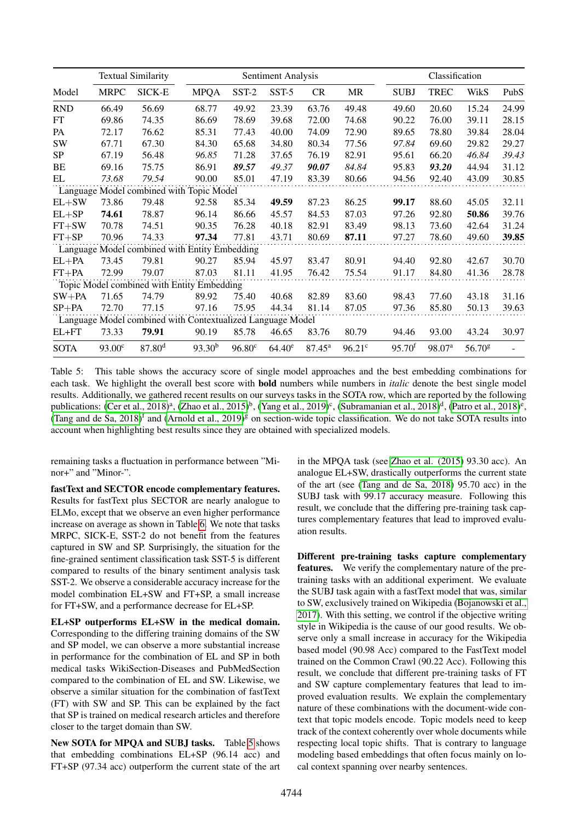|                                          |                    | <b>Textual Similarity</b>                                  | Sentiment Analysis |                 |           |                 |           |                      | Classification     |                    |       |  |
|------------------------------------------|--------------------|------------------------------------------------------------|--------------------|-----------------|-----------|-----------------|-----------|----------------------|--------------------|--------------------|-------|--|
| Model                                    | <b>MRPC</b>        | SICK-E                                                     | <b>MPQA</b>        | SST-2           | SST-5     | CR              | <b>MR</b> | <b>SUBJ</b>          | <b>TREC</b>        | WikS               | PubS  |  |
| <b>RND</b>                               | 66.49              | 56.69                                                      | 68.77              | 49.92           | 23.39     | 63.76           | 49.48     | 49.60                | 20.60              | 15.24              | 24.99 |  |
| <b>FT</b>                                | 69.86              | 74.35                                                      | 86.69              | 78.69           | 39.68     | 72.00           | 74.68     | 90.22                | 76.00              | 39.11              | 28.15 |  |
| <b>PA</b>                                | 72.17              | 76.62                                                      | 85.31              | 77.43           | 40.00     | 74.09           | 72.90     | 89.65                | 78.80              | 39.84              | 28.04 |  |
| <b>SW</b>                                | 67.71              | 67.30                                                      | 84.30              | 65.68           | 34.80     | 80.34           | 77.56     | 97.84                | 69.60              | 29.82              | 29.27 |  |
| <b>SP</b>                                | 67.19              | 56.48                                                      | 96.85              | 71.28           | 37.65     | 76.19           | 82.91     | 95.61                | 66.20              | 46.84              | 39.43 |  |
| BE                                       | 69.16              | 75.75                                                      | 86.91              | 89.57           | 49.37     | 90.07           | 84.84     | 95.83                | 93.20              | 44.94              | 31.12 |  |
| EL                                       | 73.68              | 79.54                                                      | 90.00              | 85.01           | 47.19     | 83.39           | 80.66     | 94.56                | 92.40              | 43.09              | 30.85 |  |
| Language Model combined with Topic Model |                    |                                                            |                    |                 |           |                 |           |                      |                    |                    |       |  |
| $EL+SW$                                  | 73.86              | 79.48                                                      | 92.58              | 85.34           | 49.59     | 87.23           | 86.25     | 99.17                | 88.60              | 45.05              | 32.11 |  |
| $EL+SP$                                  | 74.61              | 78.87                                                      | 96.14              | 86.66           | 45.57     | 84.53           | 87.03     | 97.26                | 92.80              | 50.86              | 39.76 |  |
| $FT+SW$                                  | 70.78              | 74.51                                                      | 90.35              | 76.28           | 40.18     | 82.91           | 83.49     | 98.13                | 73.60              | 42.64              | 31.24 |  |
| $FT+SP$                                  | 70.96              | 74.33                                                      | 97.34              | 77.81           | 43.71     | 80.69           | 87.11     | 97.27                | 78.60              | 49.60              | 39.85 |  |
|                                          |                    | Language Model combined with Entity Embedding              |                    |                 |           |                 |           |                      |                    |                    |       |  |
| $EL+PA$                                  | 73.45              | 79.81                                                      | 90.27              | 85.94           | 45.97     | 83.47           | 80.91     | 94.40                | 92.80              | 42.67              | 30.70 |  |
| $FT+PA$                                  | 72.99              | 79.07                                                      | 87.03              | 81.11           | 41.95     | 76.42           | 75.54     | 91.17                | 84.80              | 41.36              | 28.78 |  |
|                                          |                    | Topic Model combined with Entity Embedding                 |                    |                 |           |                 |           |                      |                    |                    |       |  |
| $SW+PA$                                  | 71.65              | 74.79                                                      | 89.92              | 75.40           | 40.68     | 82.89           | 83.60     | 98.43                | 77.60              | 43.18              | 31.16 |  |
| $SP+PA$                                  | 72.70              | 77.15                                                      | 97.16              | 75.95           | 44.34     | 81.14           | 87.05     | 97.36                | 85.80              | 50.13              | 39.63 |  |
|                                          |                    | Language Model combined with Contextualized Language Model |                    |                 |           |                 |           |                      |                    |                    |       |  |
| $EL+FT$                                  | 73.33              | 79.91                                                      | 90.19              | 85.78           | 46.65     | 83.76           | 80.79     | 94.46                | 93.00              | 43.24              | 30.97 |  |
| <b>SOTA</b>                              | 93.00 <sup>c</sup> | $87.80$ <sup>d</sup>                                       | 93.30 <sup>b</sup> | $96.80^{\circ}$ | $64.40^e$ | $87.45^{\rm a}$ | $96.21^c$ | $95.70$ <sup>f</sup> | 98.07 <sup>a</sup> | 56.70 <sup>g</sup> |       |  |

<span id="page-5-0"></span>Table 5: This table shows the accuracy score of single model approaches and the best embedding combinations for each task. We highlight the overall best score with bold numbers while numbers in *italic* denote the best single model results. Additionally, we gathered recent results on our surveys tasks in the SOTA row, which are reported by the following publications: [\(Cer et al., 2018\)](#page-8-29)<sup>a</sup>, [\(Zhao et al., 2015\)](#page-9-23)<sup>b</sup>, [\(Yang et al., 2019\)](#page-9-24)<sup>c</sup>, [\(Subramanian et al., 2018\)](#page-9-25)<sup>d</sup>, [\(Patro et al., 2018\)](#page-9-26)<sup>e</sup>, [\(Tang and de Sa, 2018\)](#page-9-27)<sup>f</sup> and [\(Arnold et al., 2019\)](#page-7-1)<sup>g</sup> on section-wide topic classification. We do not take SOTA results into account when highlighting best results since they are obtained with specialized models.

remaining tasks a fluctuation in performance between "Minor+" and "Minor-".

fastText and SECTOR encode complementary features. Results for fastText plus SECTOR are nearly analogue to ELMo, except that we observe an even higher performance increase on average as shown in Table [6.](#page-6-0) We note that tasks MRPC, SICK-E, SST-2 do not benefit from the features captured in SW and SP. Surprisingly, the situation for the fine-grained sentiment classification task SST-5 is different compared to results of the binary sentiment analysis task SST-2. We observe a considerable accuracy increase for the model combination EL+SW and FT+SP, a small increase for FT+SW, and a performance decrease for EL+SP.

EL+SP outperforms EL+SW in the medical domain. Corresponding to the differing training domains of the SW and SP model, we can observe a more substantial increase in performance for the combination of EL and SP in both medical tasks WikiSection-Diseases and PubMedSection compared to the combination of EL and SW. Likewise, we observe a similar situation for the combination of fastText (FT) with SW and SP. This can be explained by the fact that SP is trained on medical research articles and therefore closer to the target domain than SW.

New SOTA for MPQA and SUBJ tasks. Table [5](#page-5-0) shows that embedding combinations EL+SP (96.14 acc) and FT+SP (97.34 acc) outperform the current state of the art in the MPQA task (see [Zhao et al. \(2015\)](#page-9-23) 93.30 acc). An analogue EL+SW, drastically outperforms the current state of the art (see [\(Tang and de Sa, 2018\)](#page-9-27) 95.70 acc) in the SUBJ task with 99.17 accuracy measure. Following this result, we conclude that the differing pre-training task captures complementary features that lead to improved evaluation results.

Different pre-training tasks capture complementary features. We verify the complementary nature of the pretraining tasks with an additional experiment. We evaluate the SUBJ task again with a fastText model that was, similar to SW, exclusively trained on Wikipedia [\(Bojanowski et al.,](#page-8-9) [2017\)](#page-8-9). With this setting, we control if the objective writing style in Wikipedia is the cause of our good results. We observe only a small increase in accuracy for the Wikipedia based model (90.98 Acc) compared to the FastText model trained on the Common Crawl (90.22 Acc). Following this result, we conclude that different pre-training tasks of FT and SW capture complementary features that lead to improved evaluation results. We explain the complementary nature of these combinations with the document-wide context that topic models encode. Topic models need to keep track of the context coherently over whole documents while respecting local topic shifts. That is contrary to language modeling based embeddings that often focus mainly on local context spanning over nearby sentences.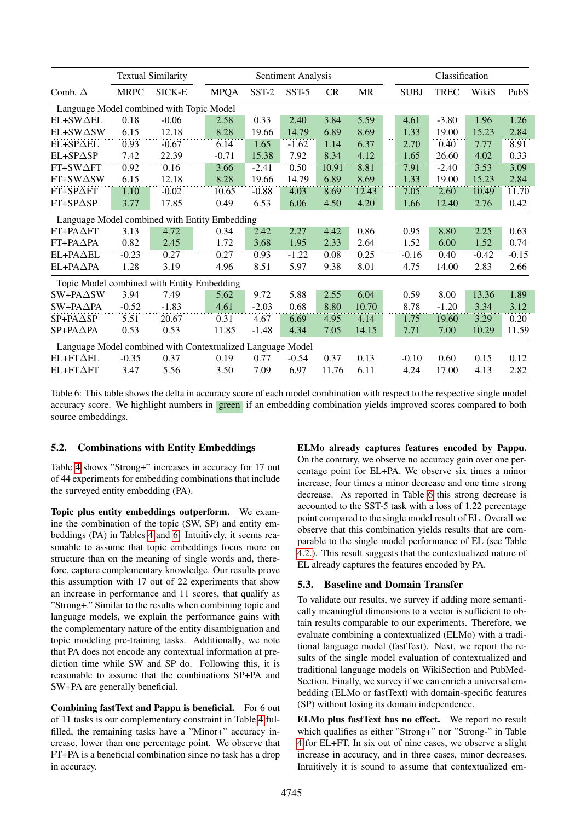|                                                            |             | <b>Textual Similarity</b> | Sentiment Analysis |         |         |           |           |  | Classification |             |         |         |
|------------------------------------------------------------|-------------|---------------------------|--------------------|---------|---------|-----------|-----------|--|----------------|-------------|---------|---------|
| Comb. $\Delta$                                             | <b>MRPC</b> | SICK-E                    | <b>MPQA</b>        | SST-2   | SST-5   | <b>CR</b> | <b>MR</b> |  | <b>SUBJ</b>    | <b>TREC</b> | WikiS   | PubS    |
| Language Model combined with Topic Model                   |             |                           |                    |         |         |           |           |  |                |             |         |         |
| $EL+SW\Delta EL$                                           | 0.18        | $-0.06$                   | 2.58               | 0.33    | 2.40    | 3.84      | 5.59      |  | 4.61           | $-3.80$     | 1.96    | 1.26    |
| EL+SW $\Delta$ SW                                          | 6.15        | 12.18                     | 8.28               | 19.66   | 14.79   | 6.89      | 8.69      |  | 1.33           | 19.00       | 15.23   | 2.84    |
| EL+SPAEL                                                   | 0.93        | $-0.67$                   | 6.14               | 1.65    | $-1.62$ | 1.14      | 6.37      |  | 2.70           | 0.40        | 7.77    | 8.91    |
| EL+SP∆SP                                                   | 7.42        | 22.39                     | $-0.71$            | 15.38   | 7.92    | 8.34      | 4.12      |  | 1.65           | 26.60       | 4.02    | 0.33    |
| FT+SWAFT                                                   | 0.92        | 0.16                      | 3.66               | $-2.41$ | 0.50    | 10.91     | 8.81      |  | 7.91           | $-2.40$     | 3.53    | 3.09    |
| $FT+SW\Delta SW$                                           | 6.15        | 12.18                     | 8.28               | 19.66   | 14.79   | 6.89      | 8.69      |  | 1.33           | 19.00       | 15.23   | 2.84    |
| $FT+SP\Delta FT$                                           | 1.10        | $-0.02$                   | 10.65              | $-0.88$ | 4.03    | 8.69      | 12.43     |  | 7.05           | 2.60        | 10.49   | 11.70   |
| $FT+SP\triangle SP$                                        | 3.77        | 17.85                     | 0.49               | 6.53    | 6.06    | 4.50      | 4.20      |  | 1.66           | 12.40       | 2.76    | 0.42    |
| Language Model combined with Entity Embedding              |             |                           |                    |         |         |           |           |  |                |             |         |         |
| $FT+PA\Delta FT$                                           | 3.13        | 4.72                      | 0.34               | 2.42    | 2.27    | 4.42      | 0.86      |  | 0.95           | 8.80        | 2.25    | 0.63    |
| FT+PA∆PA                                                   | 0.82        | 2.45                      | 1.72               | 3.68    | 1.95    | 2.33      | 2.64      |  | 1.52           | 6.00        | 1.52    | 0.74    |
| $EL+PA\Delta EL$                                           | $-0.23$     | 0.27                      | 0.27               | 0.93    | $-1.22$ | 0.08      | 0.25      |  | $-0.16$        | 0.40        | $-0.42$ | $-0.15$ |
| $EL+PA\Delta PA$                                           | 1.28        | 3.19                      | 4.96               | 8.51    | 5.97    | 9.38      | 8.01      |  | 4.75           | 14.00       | 2.83    | 2.66    |
| Topic Model combined with Entity Embedding                 |             |                           |                    |         |         |           |           |  |                |             |         |         |
| $SW+PA\Delta SW$                                           | 3.94        | 7.49                      | 5.62               | 9.72    | 5.88    | 2.55      | 6.04      |  | 0.59           | 8.00        | 13.36   | 1.89    |
| SW+PA∆PA                                                   | $-0.52$     | $-1.83$                   | 4.61               | $-2.03$ | 0.68    | 8.80      | 10.70     |  | 8.78           | $-1.20$     | 3.34    | 3.12    |
| $SP+PA\triangle SP$                                        | 5.51        | 20.67                     | 0.31               | 4.67    | 6.69    | 4.95      | 4.14      |  | 1.75           | 19.60       | 3.29    | 0.20    |
| $SP+PA\triangle PA$                                        | 0.53        | 0.53                      | 11.85              | $-1.48$ | 4.34    | 7.05      | 14.15     |  | 7.71           | 7.00        | 10.29   | 11.59   |
| Language Model combined with Contextualized Language Model |             |                           |                    |         |         |           |           |  |                |             |         |         |
| $EL+FT\Delta EL$                                           | $-0.35$     | 0.37                      | 0.19               | 0.77    | $-0.54$ | 0.37      | 0.13      |  | $-0.10$        | 0.60        | 0.15    | 0.12    |
| $EL+FT\Delta FT$                                           | 3.47        | 5.56                      | 3.50               | 7.09    | 6.97    | 11.76     | 6.11      |  | 4.24           | 17.00       | 4.13    | 2.82    |

<span id="page-6-0"></span>Table 6: This table shows the delta in accuracy score of each model combination with respect to the respective single model accuracy score. We highlight numbers in green if an embedding combination yields improved scores compared to both source embeddings.

#### 5.2. Combinations with Entity Embeddings

Table [4](#page-4-2) shows "Strong+" increases in accuracy for 17 out of 44 experiments for embedding combinations that include the surveyed entity embedding (PA).

Topic plus entity embeddings outperform. We examine the combination of the topic (SW, SP) and entity embeddings (PA) in Tables [4](#page-4-2) and [6.](#page-6-0) Intuitively, it seems reasonable to assume that topic embeddings focus more on structure than on the meaning of single words and, therefore, capture complementary knowledge. Our results prove this assumption with 17 out of 22 experiments that show an increase in performance and 11 scores, that qualify as "Strong+." Similar to the results when combining topic and language models, we explain the performance gains with the complementary nature of the entity disambiguation and topic modeling pre-training tasks. Additionally, we note that PA does not encode any contextual information at prediction time while SW and SP do. Following this, it is reasonable to assume that the combinations SP+PA and SW+PA are generally beneficial.

Combining fastText and Pappu is beneficial. For 6 out of 11 tasks is our complementary constraint in Table [4](#page-4-2) fulfilled, the remaining tasks have a "Minor+" accuracy increase, lower than one percentage point. We observe that FT+PA is a beneficial combination since no task has a drop in accuracy.

ELMo already captures features encoded by Pappu. On the contrary, we observe no accuracy gain over one percentage point for EL+PA. We observe six times a minor increase, four times a minor decrease and one time strong decrease. As reported in Table [6](#page-6-0) this strong decrease is accounted to the SST-5 task with a loss of 1.22 percentage point compared to the single model result of EL. Overall we observe that this combination yields results that are comparable to the single model performance of EL (see Table [4.2.\)](#page-3-3). This result suggests that the contextualized nature of EL already captures the features encoded by PA.

### 5.3. Baseline and Domain Transfer

To validate our results, we survey if adding more semantically meaningful dimensions to a vector is sufficient to obtain results comparable to our experiments. Therefore, we evaluate combining a contextualized (ELMo) with a traditional language model (fastText). Next, we report the results of the single model evaluation of contextualized and traditional language models on WikiSection and PubMed-Section. Finally, we survey if we can enrich a universal embedding (ELMo or fastText) with domain-specific features (SP) without losing its domain independence.

ELMo plus fastText has no effect. We report no result which qualifies as either "Strong+" nor "Strong-" in Table [4](#page-4-2) for EL+FT. In six out of nine cases, we observe a slight increase in accuracy, and in three cases, minor decreases. Intuitively it is sound to assume that contextualized em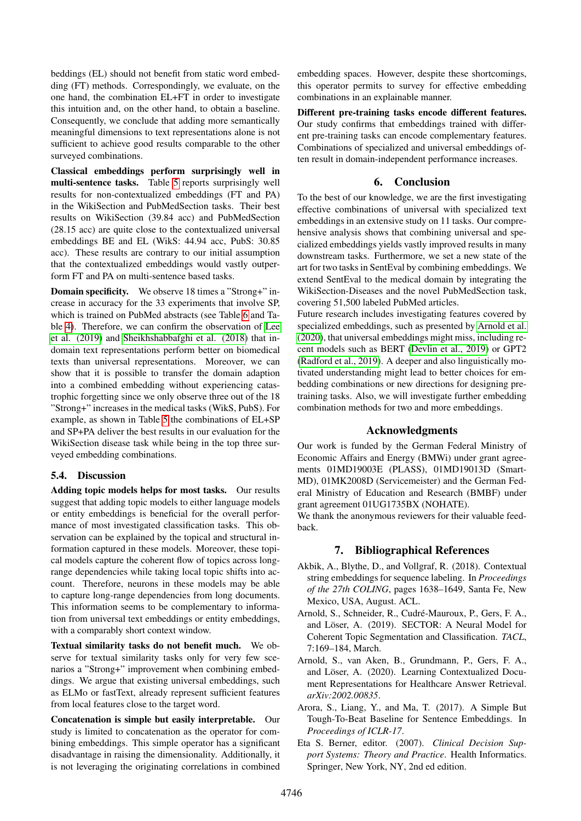beddings (EL) should not benefit from static word embedding (FT) methods. Correspondingly, we evaluate, on the one hand, the combination EL+FT in order to investigate this intuition and, on the other hand, to obtain a baseline. Consequently, we conclude that adding more semantically meaningful dimensions to text representations alone is not sufficient to achieve good results comparable to the other surveyed combinations.

Classical embeddings perform surprisingly well in multi-sentence tasks. Table [5](#page-5-0) reports surprisingly well results for non-contextualized embeddings (FT and PA) in the WikiSection and PubMedSection tasks. Their best results on WikiSection (39.84 acc) and PubMedSection (28.15 acc) are quite close to the contextualized universal embeddings BE and EL (WikS: 44.94 acc, PubS: 30.85 acc). These results are contrary to our initial assumption that the contextualized embeddings would vastly outperform FT and PA on multi-sentence based tasks.

Domain specificity. We observe 18 times a "Strong+" increase in accuracy for the 33 experiments that involve SP, which is trained on PubMed abstracts (see Table [6](#page-6-0) and Table [4\)](#page-4-2). Therefore, we can confirm the observation of [Lee](#page-8-12) [et al. \(2019\)](#page-8-12) and [Sheikhshabbafghi et al. \(2018\)](#page-9-7) that indomain text representations perform better on biomedical texts than universal representations. Moreover, we can show that it is possible to transfer the domain adaption into a combined embedding without experiencing catastrophic forgetting since we only observe three out of the 18 "Strong+" increases in the medical tasks (WikS, PubS). For example, as shown in Table [5](#page-5-0) the combinations of EL+SP and SP+PA deliver the best results in our evaluation for the WikiSection disease task while being in the top three surveyed embedding combinations.

#### 5.4. Discussion

Adding topic models helps for most tasks. Our results suggest that adding topic models to either language models or entity embeddings is beneficial for the overall performance of most investigated classification tasks. This observation can be explained by the topical and structural information captured in these models. Moreover, these topical models capture the coherent flow of topics across longrange dependencies while taking local topic shifts into account. Therefore, neurons in these models may be able to capture long-range dependencies from long documents. This information seems to be complementary to information from universal text embeddings or entity embeddings, with a comparably short context window.

Textual similarity tasks do not benefit much. We observe for textual similarity tasks only for very few scenarios a "Strong+" improvement when combining embeddings. We argue that existing universal embeddings, such as ELMo or fastText, already represent sufficient features from local features close to the target word.

Concatenation is simple but easily interpretable. Our study is limited to concatenation as the operator for combining embeddings. This simple operator has a significant disadvantage in raising the dimensionality. Additionally, it is not leveraging the originating correlations in combined embedding spaces. However, despite these shortcomings, this operator permits to survey for effective embedding combinations in an explainable manner.

Different pre-training tasks encode different features. Our study confirms that embeddings trained with different pre-training tasks can encode complementary features. Combinations of specialized and universal embeddings often result in domain-independent performance increases.

#### 6. Conclusion

To the best of our knowledge, we are the first investigating effective combinations of universal with specialized text embeddings in an extensive study on 11 tasks. Our comprehensive analysis shows that combining universal and specialized embeddings yields vastly improved results in many downstream tasks. Furthermore, we set a new state of the art for two tasks in SentEval by combining embeddings. We extend SentEval to the medical domain by integrating the WikiSection-Diseases and the novel PubMedSection task, covering 51,500 labeled PubMed articles.

Future research includes investigating features covered by specialized embeddings, such as presented by [Arnold et al.](#page-7-4) [\(2020\)](#page-7-4), that universal embeddings might miss, including recent models such as BERT [\(Devlin et al., 2019\)](#page-8-0) or GPT2 [\(Radford et al., 2019\)](#page-9-5). A deeper and also linguistically motivated understanding might lead to better choices for embedding combinations or new directions for designing pretraining tasks. Also, we will investigate further embedding combination methods for two and more embeddings.

#### Acknowledgments

Our work is funded by the German Federal Ministry of Economic Affairs and Energy (BMWi) under grant agreements 01MD19003E (PLASS), 01MD19013D (Smart-MD), 01MK2008D (Servicemeister) and the German Federal Ministry of Education and Research (BMBF) under grant agreement 01UG1735BX (NOHATE).

We thank the anonymous reviewers for their valuable feedback.

#### 7. Bibliographical References

- <span id="page-7-0"></span>Akbik, A., Blythe, D., and Vollgraf, R. (2018). Contextual string embeddings for sequence labeling. In *Proceedings of the 27th COLING*, pages 1638–1649, Santa Fe, New Mexico, USA, August. ACL.
- <span id="page-7-1"></span>Arnold, S., Schneider, R., Cudré-Mauroux, P., Gers, F. A., and Löser, A. (2019). SECTOR: A Neural Model for Coherent Topic Segmentation and Classification. *TACL*, 7:169–184, March.
- <span id="page-7-4"></span>Arnold, S., van Aken, B., Grundmann, P., Gers, F. A., and Löser, A. (2020). Learning Contextualized Document Representations for Healthcare Answer Retrieval. *arXiv:2002.00835*.
- <span id="page-7-3"></span>Arora, S., Liang, Y., and Ma, T. (2017). A Simple But Tough-To-Beat Baseline for Sentence Embeddings. In *Proceedings of ICLR-17*.
- <span id="page-7-2"></span>Eta S. Berner, editor. (2007). *Clinical Decision Support Systems: Theory and Practice*. Health Informatics. Springer, New York, NY, 2nd ed edition.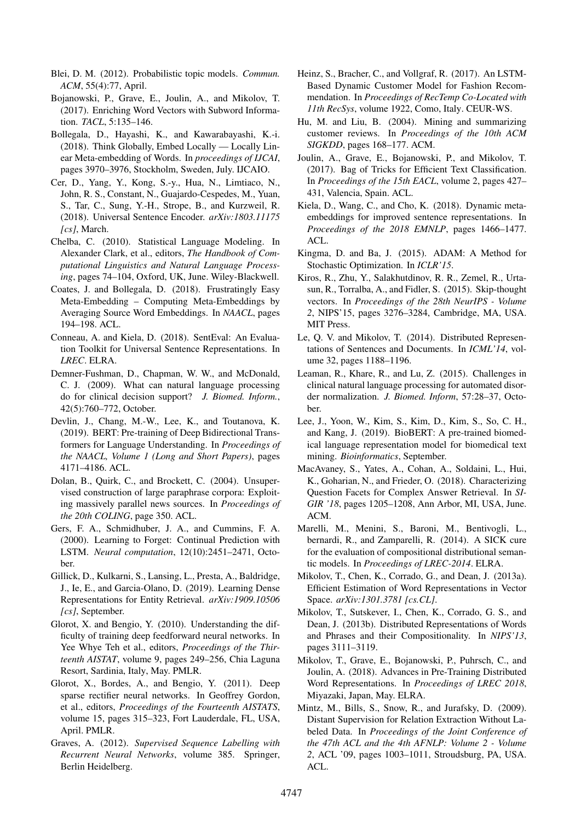- <span id="page-8-14"></span>Blei, D. M. (2012). Probabilistic topic models. *Commun. ACM*, 55(4):77, April.
- <span id="page-8-9"></span>Bojanowski, P., Grave, E., Joulin, A., and Mikolov, T. (2017). Enriching Word Vectors with Subword Information. *TACL*, 5:135–146.
- <span id="page-8-20"></span>Bollegala, D., Hayashi, K., and Kawarabayashi, K.-i. (2018). Think Globally, Embed Locally — Locally Linear Meta-embedding of Words. In *proceedings of IJCAI*, pages 3970–3976, Stockholm, Sweden, July. IJCAIO.
- <span id="page-8-29"></span>Cer, D., Yang, Y., Kong, S.-y., Hua, N., Limtiaco, N., John, R. S., Constant, N., Guajardo-Cespedes, M., Yuan, S., Tar, C., Sung, Y.-H., Strope, B., and Kurzweil, R. (2018). Universal Sentence Encoder. *arXiv:1803.11175 [cs]*, March.
- <span id="page-8-8"></span>Chelba, C. (2010). Statistical Language Modeling. In Alexander Clark, et al., editors, *The Handbook of Computational Linguistics and Natural Language Processing*, pages 74–104, Oxford, UK, June. Wiley-Blackwell.
- <span id="page-8-21"></span>Coates, J. and Bollegala, D. (2018). Frustratingly Easy Meta-Embedding – Computing Meta-Embeddings by Averaging Source Word Embeddings. In *NAACL*, pages 194–198. ACL.
- <span id="page-8-1"></span>Conneau, A. and Kiela, D. (2018). SentEval: An Evaluation Toolkit for Universal Sentence Representations. In *LREC*. ELRA.
- <span id="page-8-5"></span>Demner-Fushman, D., Chapman, W. W., and McDonald, C. J. (2009). What can natural language processing do for clinical decision support? *J. Biomed. Inform.*, 42(5):760–772, October.
- <span id="page-8-0"></span>Devlin, J., Chang, M.-W., Lee, K., and Toutanova, K. (2019). BERT: Pre-training of Deep Bidirectional Transformers for Language Understanding. In *Proceedings of the NAACL, Volume 1 (Long and Short Papers)*, pages 4171–4186. ACL.
- <span id="page-8-26"></span>Dolan, B., Quirk, C., and Brockett, C. (2004). Unsupervised construction of large paraphrase corpora: Exploiting massively parallel news sources. In *Proceedings of the 20th COLING*, page 350. ACL.
- <span id="page-8-16"></span>Gers, F. A., Schmidhuber, J. A., and Cummins, F. A. (2000). Learning to Forget: Continual Prediction with LSTM. *Neural computation*, 12(10):2451–2471, October.
- <span id="page-8-4"></span>Gillick, D., Kulkarni, S., Lansing, L., Presta, A., Baldridge, J., Ie, E., and Garcia-Olano, D. (2019). Learning Dense Representations for Entity Retrieval. *arXiv:1909.10506 [cs]*, September.
- <span id="page-8-24"></span>Glorot, X. and Bengio, Y. (2010). Understanding the difficulty of training deep feedforward neural networks. In Yee Whye Teh et al., editors, *Proceedings of the Thirteenth AISTAT*, volume 9, pages 249–256, Chia Laguna Resort, Sardinia, Italy, May. PMLR.
- <span id="page-8-23"></span>Glorot, X., Bordes, A., and Bengio, Y. (2011). Deep sparse rectifier neural networks. In Geoffrey Gordon, et al., editors, *Proceedings of the Fourteenth AISTATS*, volume 15, pages 315–323, Fort Lauderdale, FL, USA, April. PMLR.
- <span id="page-8-15"></span>Graves, A. (2012). *Supervised Sequence Labelling with Recurrent Neural Networks*, volume 385. Springer, Berlin Heidelberg.
- <span id="page-8-18"></span>Heinz, S., Bracher, C., and Vollgraf, R. (2017). An LSTM-Based Dynamic Customer Model for Fashion Recommendation. In *Proceedings of RecTemp Co-Located with 11th RecSys*, volume 1922, Como, Italy. CEUR-WS.
- <span id="page-8-28"></span>Hu, M. and Liu, B. (2004). Mining and summarizing customer reviews. In *Proceedings of the 10th ACM SIGKDD*, pages 168–177. ACM.
- <span id="page-8-3"></span>Joulin, A., Grave, E., Bojanowski, P., and Mikolov, T. (2017). Bag of Tricks for Efficient Text Classification. In *Proceedings of the 15th EACL*, volume 2, pages 427– 431, Valencia, Spain. ACL.
- <span id="page-8-19"></span>Kiela, D., Wang, C., and Cho, K. (2018). Dynamic metaembeddings for improved sentence representations. In *Proceedings of the 2018 EMNLP*, pages 1466–1477. ACL.
- <span id="page-8-25"></span>Kingma, D. and Ba, J. (2015). ADAM: A Method for Stochastic Optimization. In *ICLR'15*.
- <span id="page-8-11"></span>Kiros, R., Zhu, Y., Salakhutdinov, R. R., Zemel, R., Urtasun, R., Torralba, A., and Fidler, S. (2015). Skip-thought vectors. In *Proceedings of the 28th NeurIPS - Volume 2*, NIPS'15, pages 3276–3284, Cambridge, MA, USA. MIT Press.
- <span id="page-8-17"></span>Le, Q. V. and Mikolov, T. (2014). Distributed Representations of Sentences and Documents. In *ICML'14*, volume 32, pages 1188–1196.
- <span id="page-8-6"></span>Leaman, R., Khare, R., and Lu, Z. (2015). Challenges in clinical natural language processing for automated disorder normalization. *J. Biomed. Inform*, 57:28–37, October.
- <span id="page-8-12"></span>Lee, J., Yoon, W., Kim, S., Kim, D., Kim, S., So, C. H., and Kang, J. (2019). BioBERT: A pre-trained biomedical language representation model for biomedical text mining. *Bioinformatics*, September.
- <span id="page-8-13"></span>MacAvaney, S., Yates, A., Cohan, A., Soldaini, L., Hui, K., Goharian, N., and Frieder, O. (2018). Characterizing Question Facets for Complex Answer Retrieval. In *SI-GIR '18*, pages 1205–1208, Ann Arbor, MI, USA, June. ACM.
- <span id="page-8-27"></span>Marelli, M., Menini, S., Baroni, M., Bentivogli, L., bernardi, R., and Zamparelli, R. (2014). A SICK cure for the evaluation of compositional distributional semantic models. In *Proceedings of LREC-2014*. ELRA.
- <span id="page-8-2"></span>Mikolov, T., Chen, K., Corrado, G., and Dean, J. (2013a). Efficient Estimation of Word Representations in Vector Space. *arXiv:1301.3781 [cs.CL]*.
- <span id="page-8-10"></span>Mikolov, T., Sutskever, I., Chen, K., Corrado, G. S., and Dean, J. (2013b). Distributed Representations of Words and Phrases and their Compositionality. In *NIPS'13*, pages 3111–3119.
- <span id="page-8-7"></span>Mikolov, T., Grave, E., Bojanowski, P., Puhrsch, C., and Joulin, A. (2018). Advances in Pre-Training Distributed Word Representations. In *Proceedings of LREC 2018*, Miyazaki, Japan, May. ELRA.
- <span id="page-8-22"></span>Mintz, M., Bills, S., Snow, R., and Jurafsky, D. (2009). Distant Supervision for Relation Extraction Without Labeled Data. In *Proceedings of the Joint Conference of the 47th ACL and the 4th AFNLP: Volume 2 - Volume 2*, ACL '09, pages 1003–1011, Stroudsburg, PA, USA. ACL.